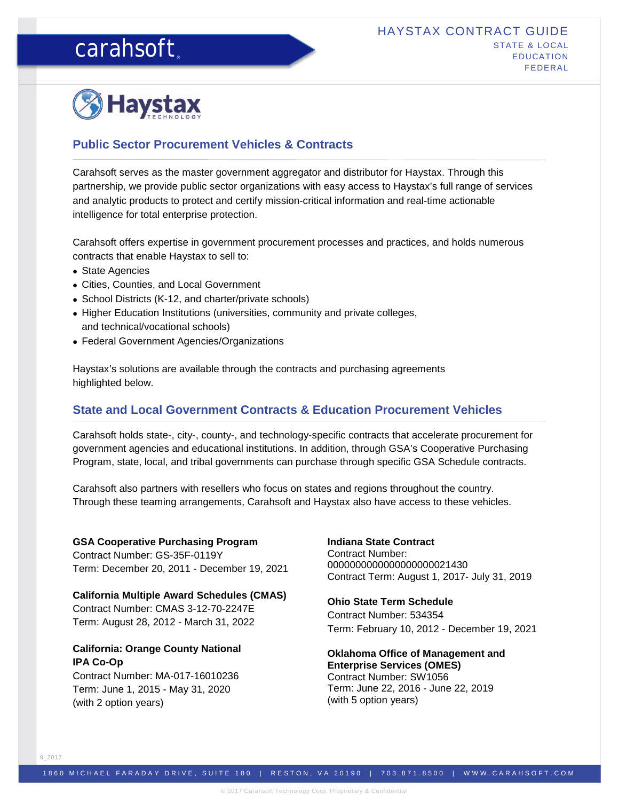# carahsoft.



## **Public Sector Procurement Vehicles & Contracts**

Carahsoft serves as the master government aggregator and distributor for Haystax. Through this partnership, we provide public sector organizations with easy access to Haystax's full range of services and analytic products to protect and certify mission-critical information and real-time actionable intelligence for total enterprise protection.

Carahsoft offers expertise in government procurement processes and practices, and holds numerous contracts that enable Haystax to sell to:

- State Agencies
- Cities, Counties, and Local Government
- School Districts (K-12, and charter/private schools)
- Higher Education Institutions (universities, community and private colleges, and technical/vocational schools)
- Federal Government Agencies/Organizations

Haystax's solutions are available through the contracts and purchasing agreements highlighted below.

## **State and Local Government Contracts & Education Procurement Vehicles**

Carahsoft holds state-, city-, county-, and technology-specific contracts that accelerate procurement for government agencies and educational institutions. In addition, through GSA's Cooperative Purchasing Program, state, local, and tribal governments can purchase through specific GSA Schedule contracts.

Carahsoft also partners with resellers who focus on states and regions throughout the country. Through these teaming arrangements, Carahsoft and Haystax also have access to these vehicles.

### **GSA Cooperative Purchasing Program**

Contract Number: GS-35F-0119Y Term: December 20, 2011 - December 19, 2021

**California Multiple Award Schedules (CMAS)** Contract Number: CMAS 3-12-70-2247E Term: August 28, 2012 - March 31, 2022

## **California: Orange County National IPA Co-Op**

Contract Number: MA-017-16010236 Term: June 1, 2015 - May 31, 2020 (with 2 option years)

**Indiana State Contract** Contract Number: 0000000000000000000021430 Contract Term: August 1, 2017- July 31, 2019

## **Ohio State Term Schedule**

Contract Number: 534354 Term: February 10, 2012 - December 19, 2021

**Oklahoma Office of Management and Enterprise Services (OMES)** Contract Number: SW1056 Term: June 22, 2016 - June 22, 2019 (with 5 option years)